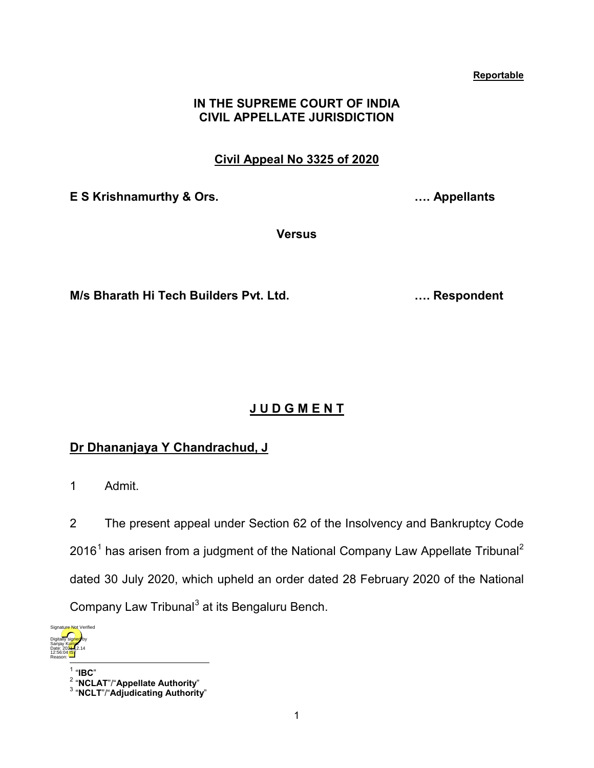#### **Reportable**

### **IN THE SUPREME COURT OF INDIA CIVIL APPELLATE JURISDICTION**

## **Civil Appeal No 3325 of 2020**

**E S Krishnamurthy & Ors. …. Appellants**

**Versus**

**M/s Bharath Hi Tech Builders Pvt. Ltd. …. Respondent**

# **J U D G M E N T**

## **Dr Dhananjaya Y Chandrachud, J**

1 Admit.

2 The present appeal under Section 62 of the Insolvency and Bankruptcy Code  $2016<sup>1</sup>$  $2016<sup>1</sup>$  $2016<sup>1</sup>$  has arisen from a judgment of the National Company Law Appellate Tribunal<sup>[2](#page-0-1)</sup> dated 30 July 2020, which upheld an order dated 28 February 2020 of the National Company Law Tribunal<sup>[3](#page-0-2)</sup> at its Bengaluru Bench.

<span id="page-0-0"></span>

<sup>1</sup> "**IBC**" <sup>2</sup> "**NCLAT**"/"**Appellate Authority**" <sup>3</sup> "**NCLT**"/"**Adjudicating Authority**"

<span id="page-0-2"></span><span id="page-0-1"></span>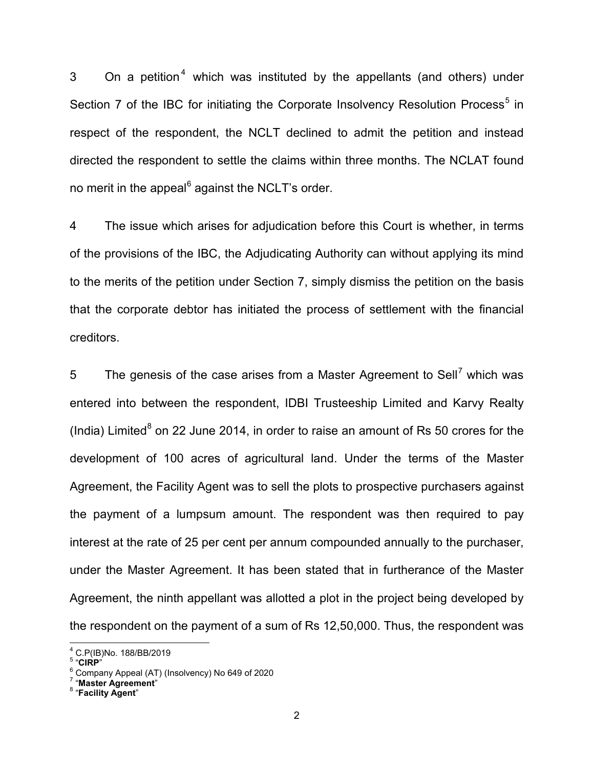3 On a petition<sup>[4](#page-1-0)</sup> which was instituted by the appellants (and others) under Section 7 of the IBC for initiating the Corporate Insolvency Resolution Process<sup>[5](#page-1-1)</sup> in respect of the respondent, the NCLT declined to admit the petition and instead directed the respondent to settle the claims within three months. The NCLAT found no merit in the appeal $6$  against the NCLT's order.

4 The issue which arises for adjudication before this Court is whether, in terms of the provisions of the IBC, the Adjudicating Authority can without applying its mind to the merits of the petition under Section 7, simply dismiss the petition on the basis that the corporate debtor has initiated the process of settlement with the financial creditors.

5 The genesis of the case arises from a Master Agreement to Sell<sup>[7](#page-1-3)</sup> which was entered into between the respondent, IDBI Trusteeship Limited and Karvy Realty (India) Limited<sup>[8](#page-1-4)</sup> on 22 June 2014, in order to raise an amount of Rs 50 crores for the development of 100 acres of agricultural land. Under the terms of the Master Agreement, the Facility Agent was to sell the plots to prospective purchasers against the payment of a lumpsum amount. The respondent was then required to pay interest at the rate of 25 per cent per annum compounded annually to the purchaser, under the Master Agreement. It has been stated that in furtherance of the Master Agreement, the ninth appellant was allotted a plot in the project being developed by the respondent on the payment of a sum of Rs 12,50,000. Thus, the respondent was

<span id="page-1-2"></span>

<span id="page-1-1"></span><span id="page-1-0"></span><sup>&</sup>lt;sup>4</sup> C.P(IB)No. 188/BB/2019<br><sup>5</sup> "CIRP"<br><sup>6</sup> Company Appeal (AT) (Insolvency) No 649 of 2020<br><sup>7</sup> "**Master Agreement**"<br><sup>8</sup> "Facility Agent"

<span id="page-1-4"></span><span id="page-1-3"></span>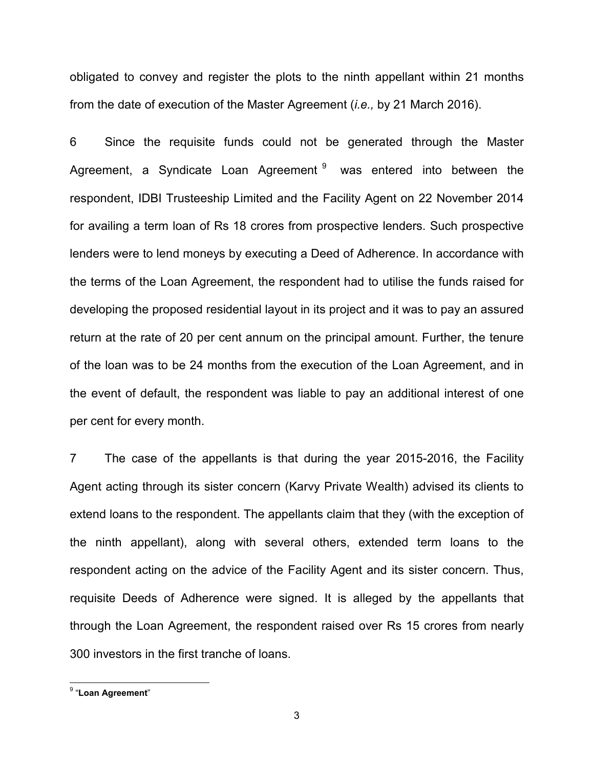obligated to convey and register the plots to the ninth appellant within 21 months from the date of execution of the Master Agreement (*i.e.,* by 21 March 2016).

6 Since the requisite funds could not be generated through the Master Agreement, a Syndicate Loan Agreement  $9$  was entered into between the respondent, IDBI Trusteeship Limited and the Facility Agent on 22 November 2014 for availing a term loan of Rs 18 crores from prospective lenders. Such prospective lenders were to lend moneys by executing a Deed of Adherence. In accordance with the terms of the Loan Agreement, the respondent had to utilise the funds raised for developing the proposed residential layout in its project and it was to pay an assured return at the rate of 20 per cent annum on the principal amount. Further, the tenure of the loan was to be 24 months from the execution of the Loan Agreement, and in the event of default, the respondent was liable to pay an additional interest of one per cent for every month.

7 The case of the appellants is that during the year 2015-2016, the Facility Agent acting through its sister concern (Karvy Private Wealth) advised its clients to extend loans to the respondent. The appellants claim that they (with the exception of the ninth appellant), along with several others, extended term loans to the respondent acting on the advice of the Facility Agent and its sister concern. Thus, requisite Deeds of Adherence were signed. It is alleged by the appellants that through the Loan Agreement, the respondent raised over Rs 15 crores from nearly 300 investors in the first tranche of loans.

<span id="page-2-0"></span><sup>9</sup> "**Loan Agreement**"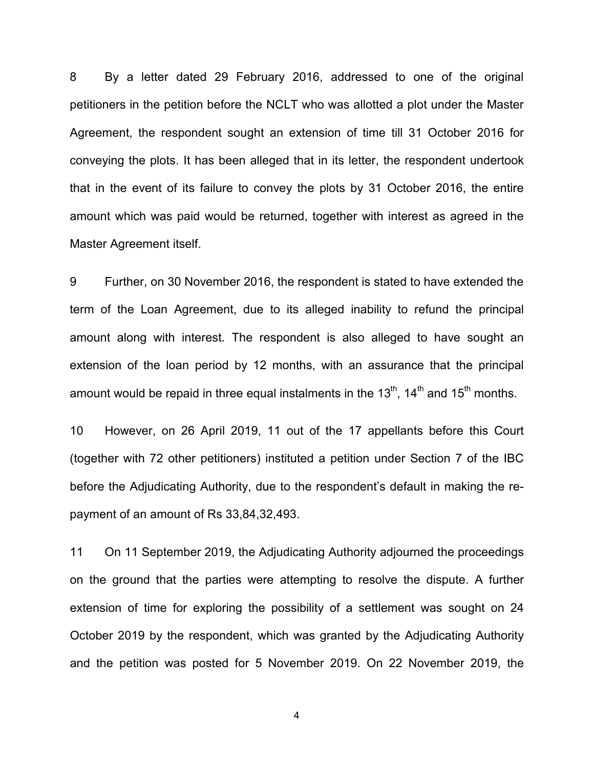8 By a letter dated 29 February 2016, addressed to one of the original petitioners in the petition before the NCLT who was allotted a plot under the Master Agreement, the respondent sought an extension of time till 31 October 2016 for conveying the plots. It has been alleged that in its letter, the respondent undertook that in the event of its failure to convey the plots by 31 October 2016, the entire amount which was paid would be returned, together with interest as agreed in the Master Agreement itself.

9 Further, on 30 November 2016, the respondent is stated to have extended the term of the Loan Agreement, due to its alleged inability to refund the principal amount along with interest. The respondent is also alleged to have sought an extension of the loan period by 12 months, with an assurance that the principal amount would be repaid in three equal instalments in the  $13<sup>th</sup>$ ,  $14<sup>th</sup>$  and  $15<sup>th</sup>$  months.

10 However, on 26 April 2019, 11 out of the 17 appellants before this Court (together with 72 other petitioners) instituted a petition under Section 7 of the IBC before the Adjudicating Authority, due to the respondent's default in making the repayment of an amount of Rs 33,84,32,493.

11 On 11 September 2019, the Adjudicating Authority adjourned the proceedings on the ground that the parties were attempting to resolve the dispute. A further extension of time for exploring the possibility of a settlement was sought on 24 October 2019 by the respondent, which was granted by the Adjudicating Authority and the petition was posted for 5 November 2019. On 22 November 2019, the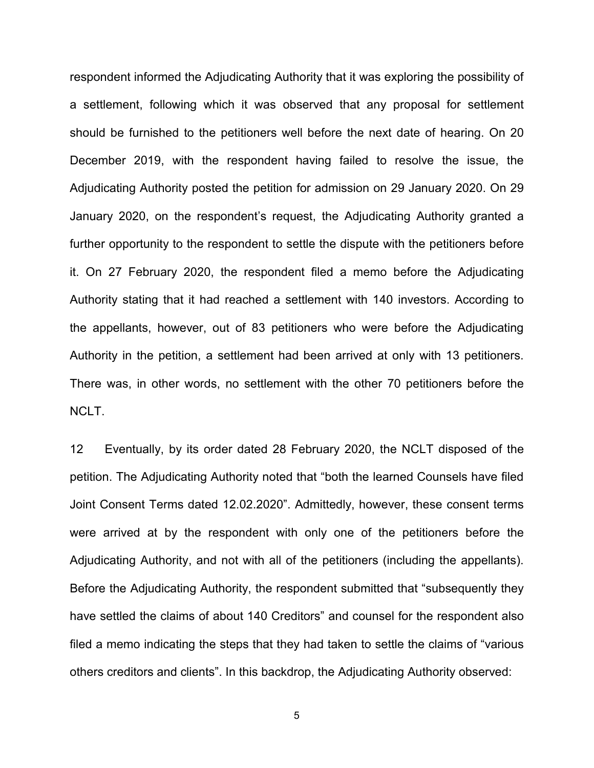respondent informed the Adjudicating Authority that it was exploring the possibility of a settlement, following which it was observed that any proposal for settlement should be furnished to the petitioners well before the next date of hearing. On 20 December 2019, with the respondent having failed to resolve the issue, the Adjudicating Authority posted the petition for admission on 29 January 2020. On 29 January 2020, on the respondent's request, the Adjudicating Authority granted a further opportunity to the respondent to settle the dispute with the petitioners before it. On 27 February 2020, the respondent filed a memo before the Adjudicating Authority stating that it had reached a settlement with 140 investors. According to the appellants, however, out of 83 petitioners who were before the Adjudicating Authority in the petition, a settlement had been arrived at only with 13 petitioners. There was, in other words, no settlement with the other 70 petitioners before the NCLT.

12 Eventually, by its order dated 28 February 2020, the NCLT disposed of the petition. The Adjudicating Authority noted that "both the learned Counsels have filed Joint Consent Terms dated 12.02.2020". Admittedly, however, these consent terms were arrived at by the respondent with only one of the petitioners before the Adjudicating Authority, and not with all of the petitioners (including the appellants). Before the Adjudicating Authority, the respondent submitted that "subsequently they have settled the claims of about 140 Creditors" and counsel for the respondent also filed a memo indicating the steps that they had taken to settle the claims of "various others creditors and clients". In this backdrop, the Adjudicating Authority observed: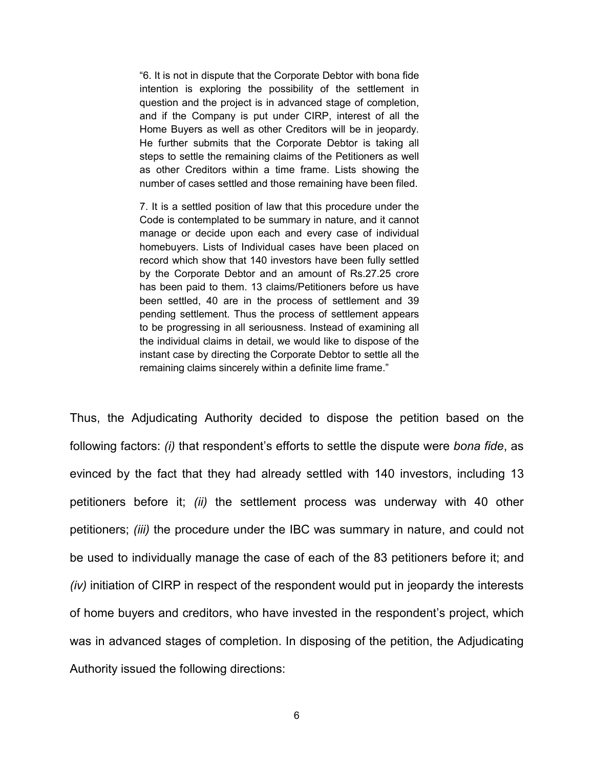"6. It is not in dispute that the Corporate Debtor with bona fide intention is exploring the possibility of the settlement in question and the project is in advanced stage of completion, and if the Company is put under CIRP, interest of all the Home Buyers as well as other Creditors will be in jeopardy. He further submits that the Corporate Debtor is taking all steps to settle the remaining claims of the Petitioners as well as other Creditors within a time frame. Lists showing the number of cases settled and those remaining have been filed.

7. It is a settled position of law that this procedure under the Code is contemplated to be summary in nature, and it cannot manage or decide upon each and every case of individual homebuyers. Lists of Individual cases have been placed on record which show that 140 investors have been fully settled by the Corporate Debtor and an amount of Rs.27.25 crore has been paid to them. 13 claims/Petitioners before us have been settled, 40 are in the process of settlement and 39 pending settlement. Thus the process of settlement appears to be progressing in all seriousness. Instead of examining all the individual claims in detail, we would like to dispose of the instant case by directing the Corporate Debtor to settle all the remaining claims sincerely within a definite lime frame."

Thus, the Adjudicating Authority decided to dispose the petition based on the following factors: *(i)* that respondent's efforts to settle the dispute were *bona fide*, as evinced by the fact that they had already settled with 140 investors, including 13 petitioners before it; *(ii)* the settlement process was underway with 40 other petitioners; *(iii)* the procedure under the IBC was summary in nature, and could not be used to individually manage the case of each of the 83 petitioners before it; and *(iv)* initiation of CIRP in respect of the respondent would put in jeopardy the interests of home buyers and creditors, who have invested in the respondent's project, which was in advanced stages of completion. In disposing of the petition, the Adjudicating Authority issued the following directions: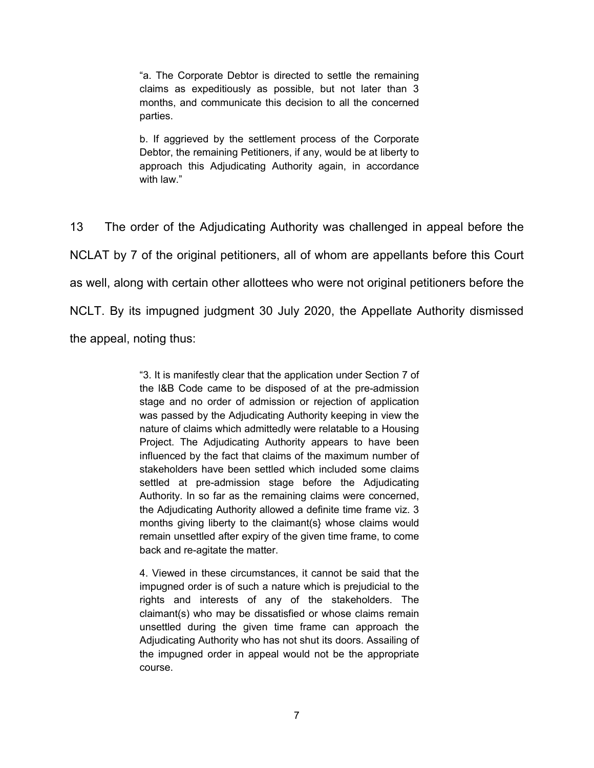"a. The Corporate Debtor is directed to settle the remaining claims as expeditiously as possible, but not later than 3 months, and communicate this decision to all the concerned parties.

b. If aggrieved by the settlement process of the Corporate Debtor, the remaining Petitioners, if any, would be at liberty to approach this Adjudicating Authority again, in accordance with law."

13 The order of the Adjudicating Authority was challenged in appeal before the NCLAT by 7 of the original petitioners, all of whom are appellants before this Court as well, along with certain other allottees who were not original petitioners before the NCLT. By its impugned judgment 30 July 2020, the Appellate Authority dismissed the appeal, noting thus:

> "3. It is manifestly clear that the application under Section 7 of the l&B Code came to be disposed of at the pre-admission stage and no order of admission or rejection of application was passed by the Adjudicating Authority keeping in view the nature of claims which admittedly were relatable to a Housing Project. The Adjudicating Authority appears to have been influenced by the fact that claims of the maximum number of stakeholders have been settled which included some claims settled at pre-admission stage before the Adjudicating Authority. In so far as the remaining claims were concerned, the Adjudicating Authority allowed a definite time frame viz. 3 months giving liberty to the claimant(s} whose claims would remain unsettled after expiry of the given time frame, to come back and re-agitate the matter.

> 4. Viewed in these circumstances, it cannot be said that the impugned order is of such a nature which is prejudicial to the rights and interests of any of the stakeholders. The claimant(s) who may be dissatisfied or whose claims remain unsettled during the given time frame can approach the Adjudicating Authority who has not shut its doors. Assailing of the impugned order in appeal would not be the appropriate course.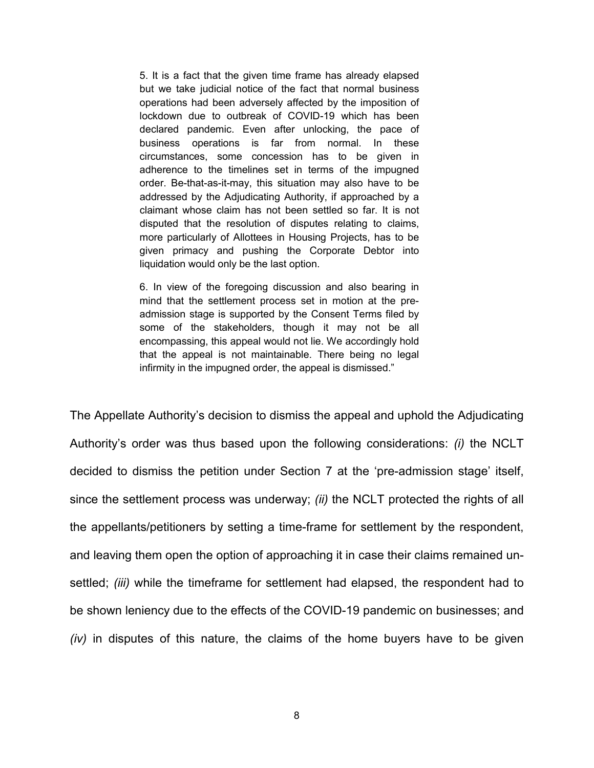5. It is a fact that the given time frame has already elapsed but we take judicial notice of the fact that normal business operations had been adversely affected by the imposition of lockdown due to outbreak of COVID-19 which has been declared pandemic. Even after unlocking, the pace of business operations is far from normal. In these circumstances, some concession has to be given in adherence to the timelines set in terms of the impugned order. Be-that-as-it-may, this situation may also have to be addressed by the Adjudicating Authority, if approached by a claimant whose claim has not been settled so far. It is not disputed that the resolution of disputes relating to claims, more particularly of Allottees in Housing Projects, has to be given primacy and pushing the Corporate Debtor into liquidation would only be the last option.

6. In view of the foregoing discussion and also bearing in mind that the settlement process set in motion at the preadmission stage is supported by the Consent Terms filed by some of the stakeholders, though it may not be all encompassing, this appeal would not lie. We accordingly hold that the appeal is not maintainable. There being no legal infirmity in the impugned order, the appeal is dismissed."

The Appellate Authority's decision to dismiss the appeal and uphold the Adjudicating Authority's order was thus based upon the following considerations: *(i)* the NCLT decided to dismiss the petition under Section 7 at the 'pre-admission stage' itself, since the settlement process was underway; *(ii)* the NCLT protected the rights of all the appellants/petitioners by setting a time-frame for settlement by the respondent, and leaving them open the option of approaching it in case their claims remained unsettled; *(iii)* while the timeframe for settlement had elapsed, the respondent had to be shown leniency due to the effects of the COVID-19 pandemic on businesses; and *(iv)* in disputes of this nature, the claims of the home buyers have to be given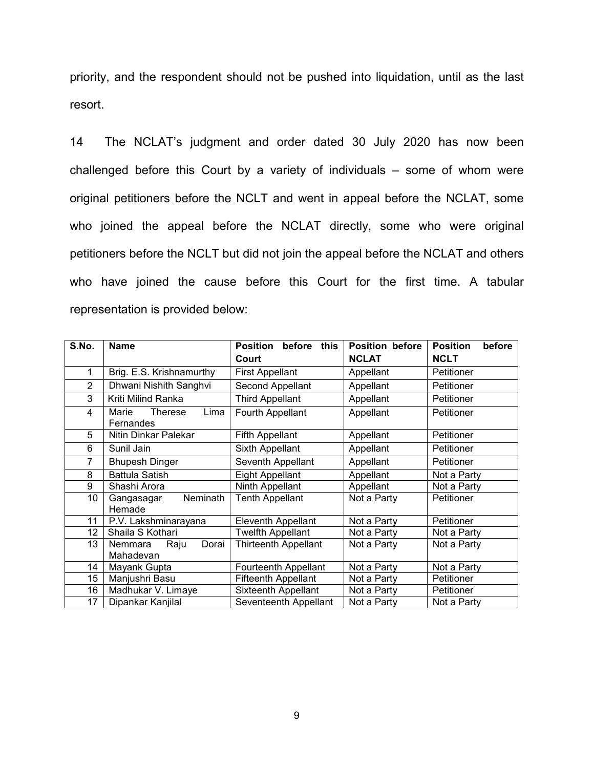priority, and the respondent should not be pushed into liquidation, until as the last resort.

14 The NCLAT's judgment and order dated 30 July 2020 has now been challenged before this Court by a variety of individuals – some of whom were original petitioners before the NCLT and went in appeal before the NCLAT, some who joined the appeal before the NCLAT directly, some who were original petitioners before the NCLT but did not join the appeal before the NCLAT and others who have joined the cause before this Court for the first time. A tabular representation is provided below:

| S.No.          | <b>Name</b>                                  | <b>Position</b><br>before<br>this<br>Court | <b>Position before</b><br><b>NCLAT</b> | <b>Position</b><br>before<br><b>NCLT</b> |  |
|----------------|----------------------------------------------|--------------------------------------------|----------------------------------------|------------------------------------------|--|
| 1              | Brig. E.S. Krishnamurthy                     | <b>First Appellant</b>                     | Appellant                              | Petitioner                               |  |
| $\overline{2}$ | Dhwani Nishith Sanghvi                       | Second Appellant                           | Appellant                              | Petitioner                               |  |
| 3              | Kriti Milind Ranka                           | <b>Third Appellant</b>                     | Appellant                              | Petitioner                               |  |
| 4              | Lima<br>Marie<br><b>Therese</b><br>Fernandes | Fourth Appellant                           | Appellant                              | Petitioner                               |  |
| 5              | Nitin Dinkar Palekar                         | <b>Fifth Appellant</b>                     | Appellant                              | Petitioner                               |  |
| 6              | Sunil Jain                                   | Sixth Appellant                            | Appellant                              | Petitioner                               |  |
| $\overline{7}$ | <b>Bhupesh Dinger</b>                        | Seventh Appellant                          | Appellant                              | Petitioner                               |  |
| 8              | <b>Battula Satish</b>                        | <b>Eight Appellant</b>                     | Appellant                              | Not a Party                              |  |
| 9              | Shashi Arora                                 | Ninth Appellant                            | Appellant                              | Not a Party                              |  |
| 10             | Neminath<br>Gangasagar<br>Hemade             | <b>Tenth Appellant</b>                     | Not a Party                            | Petitioner                               |  |
| 11             | P.V. Lakshminarayana                         | <b>Eleventh Appellant</b>                  | Not a Party                            | Petitioner                               |  |
| 12             | Shaila S Kothari                             | Twelfth Appellant                          | Not a Party                            | Not a Party                              |  |
| 13             | Dorai<br>Nemmara<br>Raju<br>Mahadevan        | <b>Thirteenth Appellant</b>                | Not a Party                            | Not a Party                              |  |
| 14             | Mayank Gupta                                 | Fourteenth Appellant                       | Not a Party                            | Not a Party                              |  |
| 15             | Manjushri Basu                               | <b>Fifteenth Appellant</b>                 | Not a Party                            | Petitioner                               |  |
| 16             | Madhukar V. Limaye                           | Sixteenth Appellant                        | Not a Party                            | Petitioner                               |  |
| 17             | Dipankar Kanjilal                            | Seventeenth Appellant                      | Not a Party                            | Not a Party                              |  |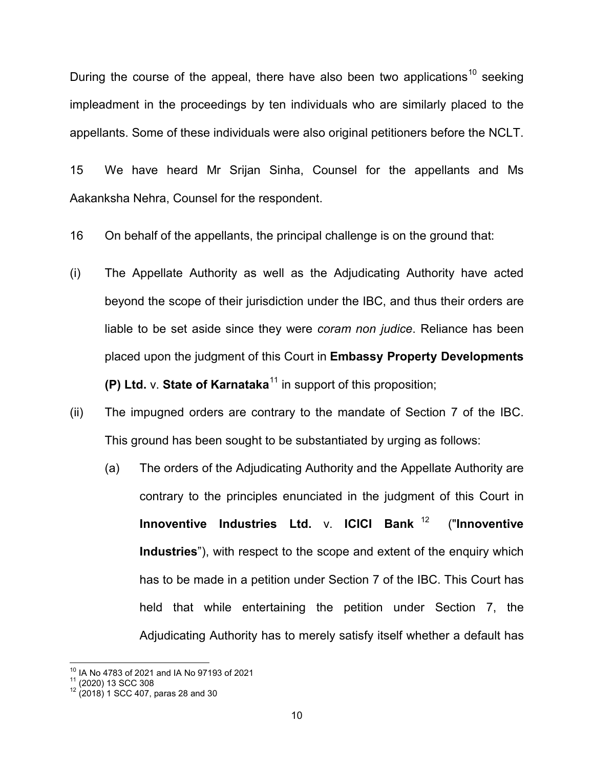During the course of the appeal, there have also been two applications<sup>[10](#page-9-0)</sup> seeking impleadment in the proceedings by ten individuals who are similarly placed to the appellants. Some of these individuals were also original petitioners before the NCLT.

15 We have heard Mr Srijan Sinha, Counsel for the appellants and Ms Aakanksha Nehra, Counsel for the respondent.

16 On behalf of the appellants, the principal challenge is on the ground that:

- (i) The Appellate Authority as well as the Adjudicating Authority have acted beyond the scope of their jurisdiction under the IBC, and thus their orders are liable to be set aside since they were *coram non judice*. Reliance has been placed upon the judgment of this Court in **Embassy Property Developments (P) Ltd.** v. **State of Karnataka<sup>[11](#page-9-1)</sup>** in support of this proposition;
- (ii) The impugned orders are contrary to the mandate of Section 7 of the IBC. This ground has been sought to be substantiated by urging as follows:
	- (a) The orders of the Adjudicating Authority and the Appellate Authority are contrary to the principles enunciated in the judgment of this Court in **Innoventive Industries Ltd.** v. **ICICI Bank** [12](#page-9-2) ("**Innoventive Industries**"), with respect to the scope and extent of the enquiry which has to be made in a petition under Section 7 of the IBC. This Court has held that while entertaining the petition under Section 7, the Adjudicating Authority has to merely satisfy itself whether a default has

<span id="page-9-1"></span><span id="page-9-0"></span><sup>&</sup>lt;sup>10</sup> IA No 4783 of 2021 and IA No 97193 of 2021<br><sup>11</sup> (2020) 13 SCC 308<br><sup>12</sup> (2018) 1 SCC 407, paras 28 and 30

<span id="page-9-2"></span>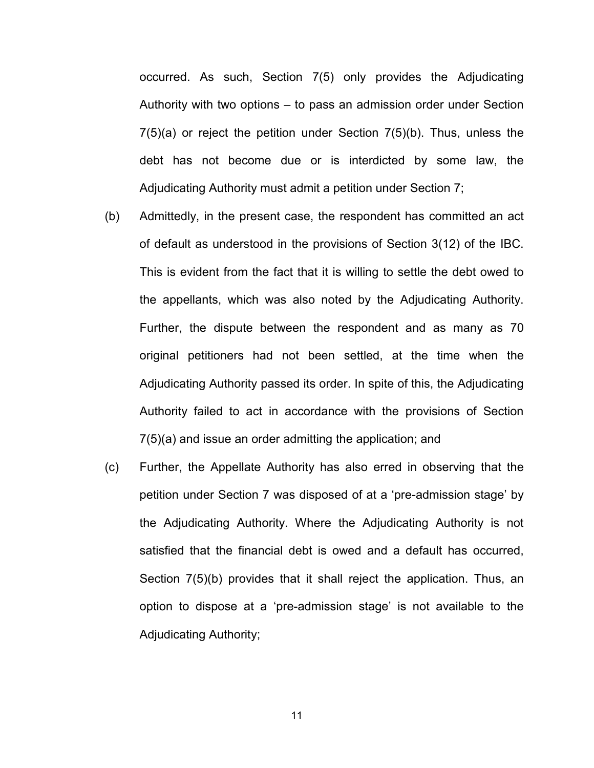occurred. As such, Section 7(5) only provides the Adjudicating Authority with two options – to pass an admission order under Section 7(5)(a) or reject the petition under Section 7(5)(b). Thus, unless the debt has not become due or is interdicted by some law, the Adjudicating Authority must admit a petition under Section 7;

- (b) Admittedly, in the present case, the respondent has committed an act of default as understood in the provisions of Section 3(12) of the IBC. This is evident from the fact that it is willing to settle the debt owed to the appellants, which was also noted by the Adjudicating Authority. Further, the dispute between the respondent and as many as 70 original petitioners had not been settled, at the time when the Adjudicating Authority passed its order. In spite of this, the Adjudicating Authority failed to act in accordance with the provisions of Section 7(5)(a) and issue an order admitting the application; and
- (c) Further, the Appellate Authority has also erred in observing that the petition under Section 7 was disposed of at a 'pre-admission stage' by the Adjudicating Authority. Where the Adjudicating Authority is not satisfied that the financial debt is owed and a default has occurred, Section 7(5)(b) provides that it shall reject the application. Thus, an option to dispose at a 'pre-admission stage' is not available to the Adjudicating Authority;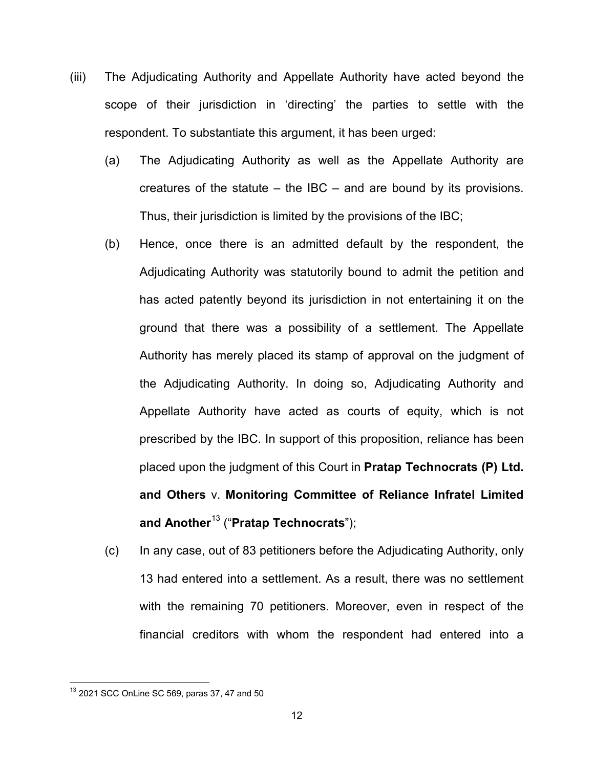- (iii) The Adjudicating Authority and Appellate Authority have acted beyond the scope of their jurisdiction in 'directing' the parties to settle with the respondent. To substantiate this argument, it has been urged:
	- (a) The Adjudicating Authority as well as the Appellate Authority are creatures of the statute  $-$  the IBC  $-$  and are bound by its provisions. Thus, their jurisdiction is limited by the provisions of the IBC;
	- (b) Hence, once there is an admitted default by the respondent, the Adjudicating Authority was statutorily bound to admit the petition and has acted patently beyond its jurisdiction in not entertaining it on the ground that there was a possibility of a settlement. The Appellate Authority has merely placed its stamp of approval on the judgment of the Adjudicating Authority. In doing so, Adjudicating Authority and Appellate Authority have acted as courts of equity, which is not prescribed by the IBC. In support of this proposition, reliance has been placed upon the judgment of this Court in **Pratap Technocrats (P) Ltd. and Others** v. **Monitoring Committee of Reliance Infratel Limited and Another**[13](#page-11-0) ("**Pratap Technocrats**");
	- (c) In any case, out of 83 petitioners before the Adjudicating Authority, only 13 had entered into a settlement. As a result, there was no settlement with the remaining 70 petitioners. Moreover, even in respect of the financial creditors with whom the respondent had entered into a

<span id="page-11-0"></span><sup>13</sup> 2021 SCC OnLine SC 569, paras 37, 47 and 50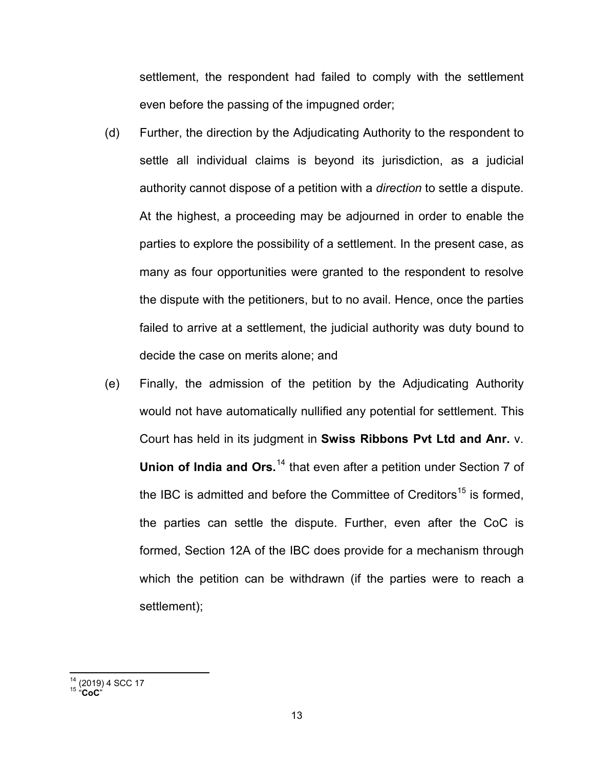settlement, the respondent had failed to comply with the settlement even before the passing of the impugned order;

- (d) Further, the direction by the Adjudicating Authority to the respondent to settle all individual claims is beyond its jurisdiction, as a judicial authority cannot dispose of a petition with a *direction* to settle a dispute. At the highest, a proceeding may be adjourned in order to enable the parties to explore the possibility of a settlement. In the present case, as many as four opportunities were granted to the respondent to resolve the dispute with the petitioners, but to no avail. Hence, once the parties failed to arrive at a settlement, the judicial authority was duty bound to decide the case on merits alone; and
- (e) Finally, the admission of the petition by the Adjudicating Authority would not have automatically nullified any potential for settlement. This Court has held in its judgment in **Swiss Ribbons Pvt Ltd and Anr.** v. **Union of India and Ors.**[14](#page-12-0) that even after a petition under Section 7 of the IBC is admitted and before the Committee of Creditors<sup>[15](#page-12-1)</sup> is formed, the parties can settle the dispute. Further, even after the CoC is formed, Section 12A of the IBC does provide for a mechanism through which the petition can be withdrawn (if the parties were to reach a settlement);

<span id="page-12-1"></span><span id="page-12-0"></span><sup>14</sup> (2019) 4 SCC 17 <sup>15</sup> "**CoC**"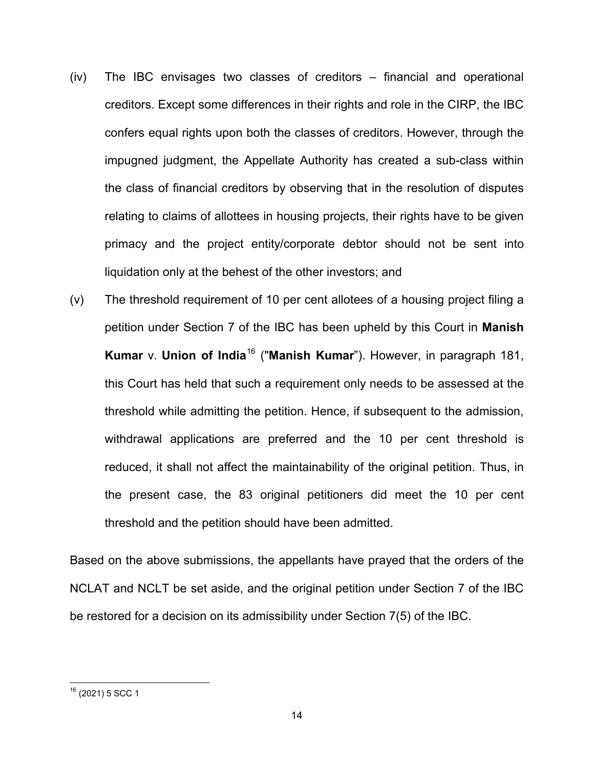- (iv) The IBC envisages two classes of creditors financial and operational creditors. Except some differences in their rights and role in the CIRP, the IBC confers equal rights upon both the classes of creditors. However, through the impugned judgment, the Appellate Authority has created a sub-class within the class of financial creditors by observing that in the resolution of disputes relating to claims of allottees in housing projects, their rights have to be given primacy and the project entity/corporate debtor should not be sent into liquidation only at the behest of the other investors; and
- (v) The threshold requirement of 10 per cent allotees of a housing project filing a petition under Section 7 of the IBC has been upheld by this Court in **Manish Kumar** v. **Union of India**[16](#page-13-0) ("**Manish Kumar**"). However, in paragraph 181, this Court has held that such a requirement only needs to be assessed at the threshold while admitting the petition. Hence, if subsequent to the admission, withdrawal applications are preferred and the 10 per cent threshold is reduced, it shall not affect the maintainability of the original petition. Thus, in the present case, the 83 original petitioners did meet the 10 per cent threshold and the petition should have been admitted.

Based on the above submissions, the appellants have prayed that the orders of the NCLAT and NCLT be set aside, and the original petition under Section 7 of the IBC be restored for a decision on its admissibility under Section 7(5) of the IBC.

<span id="page-13-0"></span> $16$  (2021) 5 SCC 1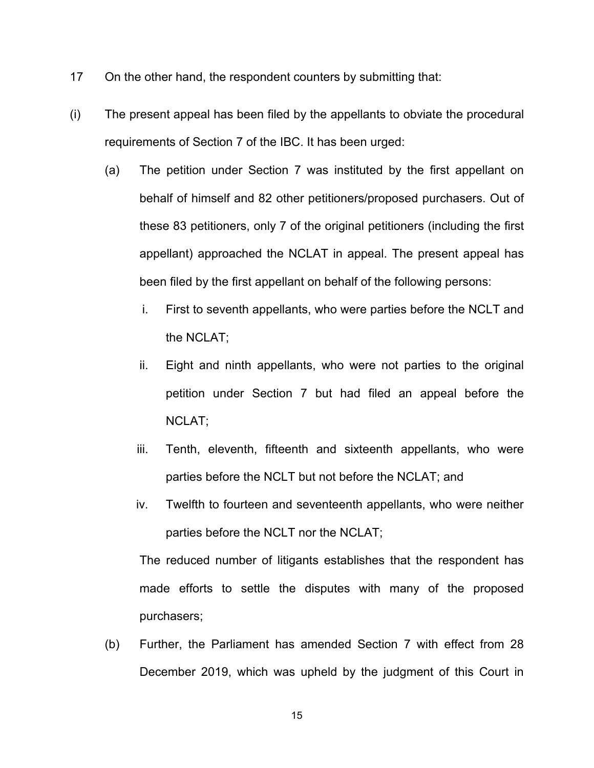- 17 On the other hand, the respondent counters by submitting that:
- (i) The present appeal has been filed by the appellants to obviate the procedural requirements of Section 7 of the IBC. It has been urged:
	- (a) The petition under Section 7 was instituted by the first appellant on behalf of himself and 82 other petitioners/proposed purchasers. Out of these 83 petitioners, only 7 of the original petitioners (including the first appellant) approached the NCLAT in appeal. The present appeal has been filed by the first appellant on behalf of the following persons:
		- i. First to seventh appellants, who were parties before the NCLT and the NCLAT;
		- ii. Eight and ninth appellants, who were not parties to the original petition under Section 7 but had filed an appeal before the NCLAT;
		- iii. Tenth, eleventh, fifteenth and sixteenth appellants, who were parties before the NCLT but not before the NCLAT; and
		- iv. Twelfth to fourteen and seventeenth appellants, who were neither parties before the NCLT nor the NCLAT;

The reduced number of litigants establishes that the respondent has made efforts to settle the disputes with many of the proposed purchasers;

(b) Further, the Parliament has amended Section 7 with effect from 28 December 2019, which was upheld by the judgment of this Court in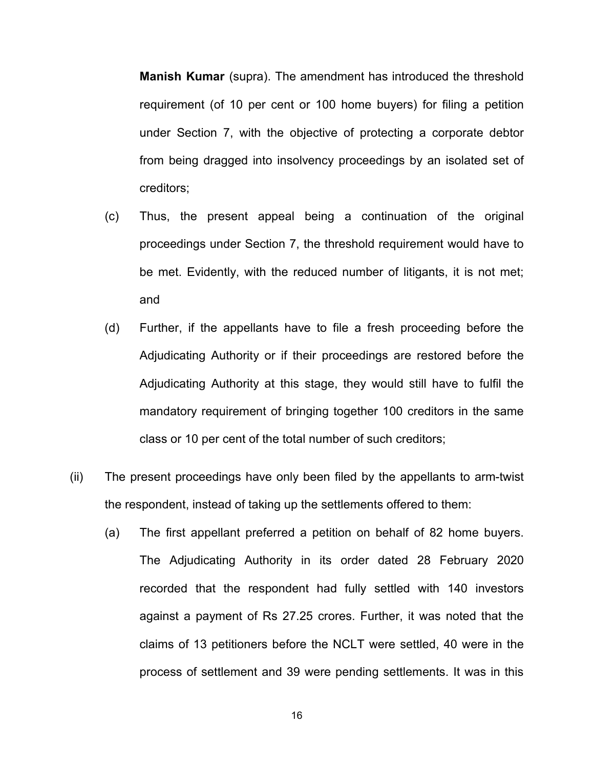**Manish Kumar** (supra). The amendment has introduced the threshold requirement (of 10 per cent or 100 home buyers) for filing a petition under Section 7, with the objective of protecting a corporate debtor from being dragged into insolvency proceedings by an isolated set of creditors;

- (c) Thus, the present appeal being a continuation of the original proceedings under Section 7, the threshold requirement would have to be met. Evidently, with the reduced number of litigants, it is not met; and
- (d) Further, if the appellants have to file a fresh proceeding before the Adjudicating Authority or if their proceedings are restored before the Adjudicating Authority at this stage, they would still have to fulfil the mandatory requirement of bringing together 100 creditors in the same class or 10 per cent of the total number of such creditors;
- (ii) The present proceedings have only been filed by the appellants to arm-twist the respondent, instead of taking up the settlements offered to them:
	- (a) The first appellant preferred a petition on behalf of 82 home buyers. The Adjudicating Authority in its order dated 28 February 2020 recorded that the respondent had fully settled with 140 investors against a payment of Rs 27.25 crores. Further, it was noted that the claims of 13 petitioners before the NCLT were settled, 40 were in the process of settlement and 39 were pending settlements. It was in this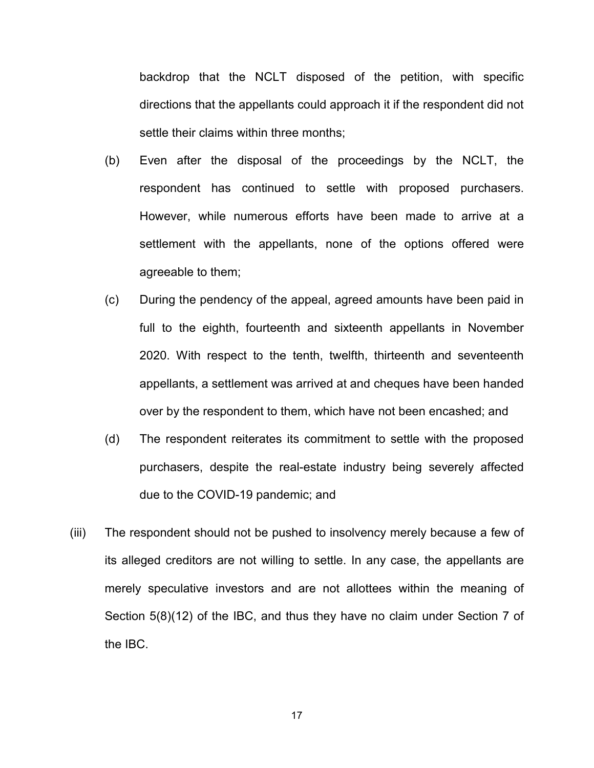backdrop that the NCLT disposed of the petition, with specific directions that the appellants could approach it if the respondent did not settle their claims within three months;

- (b) Even after the disposal of the proceedings by the NCLT, the respondent has continued to settle with proposed purchasers. However, while numerous efforts have been made to arrive at a settlement with the appellants, none of the options offered were agreeable to them;
- (c) During the pendency of the appeal, agreed amounts have been paid in full to the eighth, fourteenth and sixteenth appellants in November 2020. With respect to the tenth, twelfth, thirteenth and seventeenth appellants, a settlement was arrived at and cheques have been handed over by the respondent to them, which have not been encashed; and
- (d) The respondent reiterates its commitment to settle with the proposed purchasers, despite the real-estate industry being severely affected due to the COVID-19 pandemic; and
- (iii) The respondent should not be pushed to insolvency merely because a few of its alleged creditors are not willing to settle. In any case, the appellants are merely speculative investors and are not allottees within the meaning of Section 5(8)(12) of the IBC, and thus they have no claim under Section 7 of the IBC.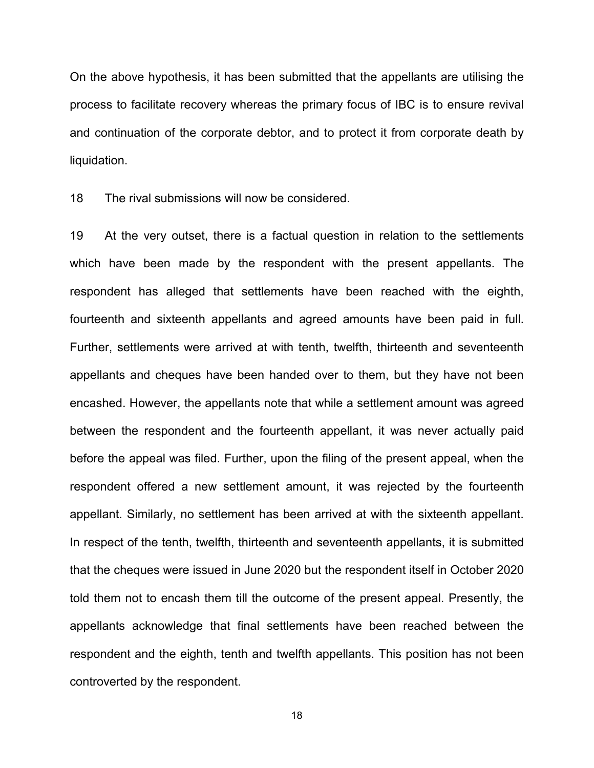On the above hypothesis, it has been submitted that the appellants are utilising the process to facilitate recovery whereas the primary focus of IBC is to ensure revival and continuation of the corporate debtor, and to protect it from corporate death by liquidation.

18 The rival submissions will now be considered.

19 At the very outset, there is a factual question in relation to the settlements which have been made by the respondent with the present appellants. The respondent has alleged that settlements have been reached with the eighth, fourteenth and sixteenth appellants and agreed amounts have been paid in full. Further, settlements were arrived at with tenth, twelfth, thirteenth and seventeenth appellants and cheques have been handed over to them, but they have not been encashed. However, the appellants note that while a settlement amount was agreed between the respondent and the fourteenth appellant, it was never actually paid before the appeal was filed. Further, upon the filing of the present appeal, when the respondent offered a new settlement amount, it was rejected by the fourteenth appellant. Similarly, no settlement has been arrived at with the sixteenth appellant. In respect of the tenth, twelfth, thirteenth and seventeenth appellants, it is submitted that the cheques were issued in June 2020 but the respondent itself in October 2020 told them not to encash them till the outcome of the present appeal. Presently, the appellants acknowledge that final settlements have been reached between the respondent and the eighth, tenth and twelfth appellants. This position has not been controverted by the respondent.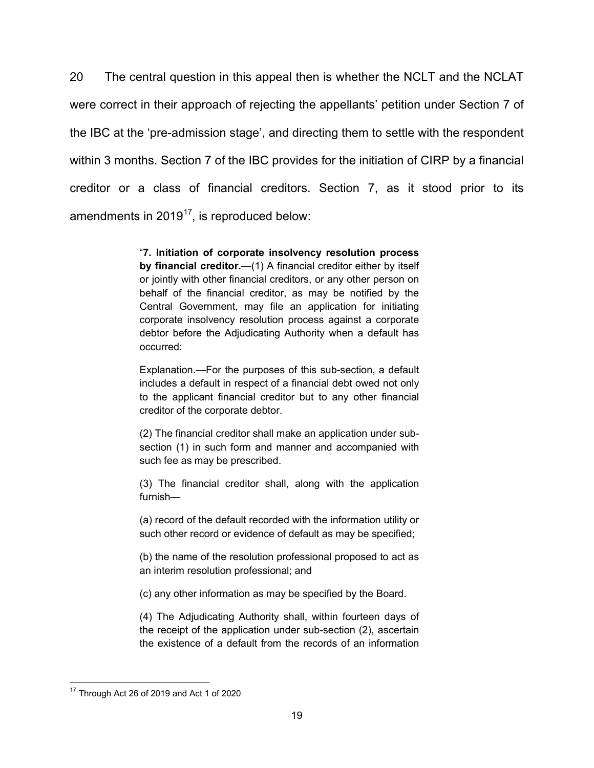20 The central question in this appeal then is whether the NCLT and the NCLAT were correct in their approach of rejecting the appellants' petition under Section 7 of the IBC at the 'pre-admission stage', and directing them to settle with the respondent within 3 months. Section 7 of the IBC provides for the initiation of CIRP by a financial creditor or a class of financial creditors. Section 7, as it stood prior to its amendments in  $2019^{17}$  $2019^{17}$  $2019^{17}$ , is reproduced below:

> "**7. Initiation of corporate insolvency resolution process by financial creditor.**—(1) A financial creditor either by itself or jointly with other financial creditors, or any other person on behalf of the financial creditor, as may be notified by the Central Government, may file an application for initiating corporate insolvency resolution process against a corporate debtor before the Adjudicating Authority when a default has occurred:

> Explanation.—For the purposes of this sub-section, a default includes a default in respect of a financial debt owed not only to the applicant financial creditor but to any other financial creditor of the corporate debtor.

> (2) The financial creditor shall make an application under subsection (1) in such form and manner and accompanied with such fee as may be prescribed.

> (3) The financial creditor shall, along with the application furnish—

> (a) record of the default recorded with the information utility or such other record or evidence of default as may be specified;

> (b) the name of the resolution professional proposed to act as an interim resolution professional; and

(c) any other information as may be specified by the Board.

(4) The Adjudicating Authority shall, within fourteen days of the receipt of the application under sub-section (2), ascertain the existence of a default from the records of an information

<span id="page-18-0"></span><sup>&</sup>lt;sup>17</sup> Through Act 26 of 2019 and Act 1 of 2020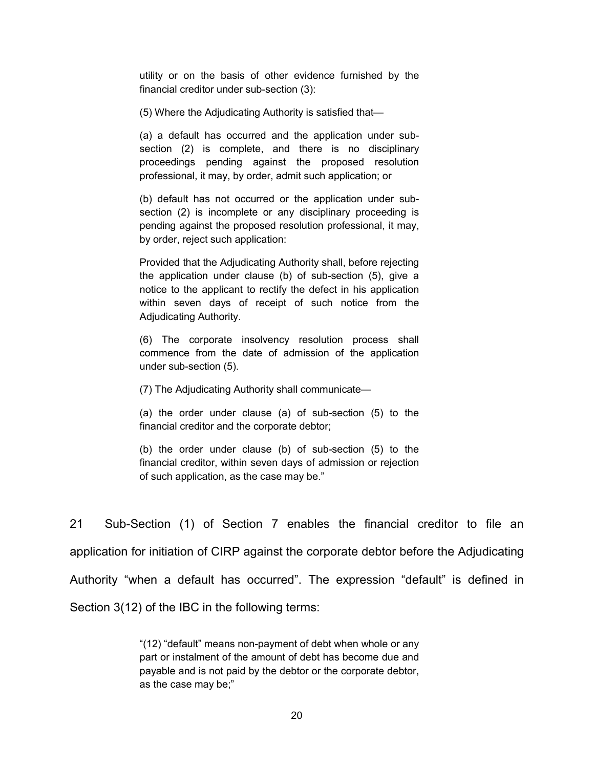utility or on the basis of other evidence furnished by the financial creditor under sub-section (3):

(5) Where the Adjudicating Authority is satisfied that—

(a) a default has occurred and the application under subsection (2) is complete, and there is no disciplinary proceedings pending against the proposed resolution professional, it may, by order, admit such application; or

(b) default has not occurred or the application under subsection (2) is incomplete or any disciplinary proceeding is pending against the proposed resolution professional, it may, by order, reject such application:

Provided that the Adjudicating Authority shall, before rejecting the application under clause (b) of sub-section (5), give a notice to the applicant to rectify the defect in his application within seven days of receipt of such notice from the Adjudicating Authority.

(6) The corporate insolvency resolution process shall commence from the date of admission of the application under sub-section (5).

(7) The Adjudicating Authority shall communicate—

(a) the order under clause (a) of sub-section (5) to the financial creditor and the corporate debtor;

(b) the order under clause (b) of sub-section (5) to the financial creditor, within seven days of admission or rejection of such application, as the case may be."

21 Sub-Section (1) of Section 7 enables the financial creditor to file an application for initiation of CIRP against the corporate debtor before the Adjudicating Authority "when a default has occurred". The expression "default" is defined in Section 3(12) of the IBC in the following terms:

> "(12) "default" means non-payment of debt when whole or any part or instalment of the amount of debt has become due and payable and is not paid by the debtor or the corporate debtor, as the case may be;"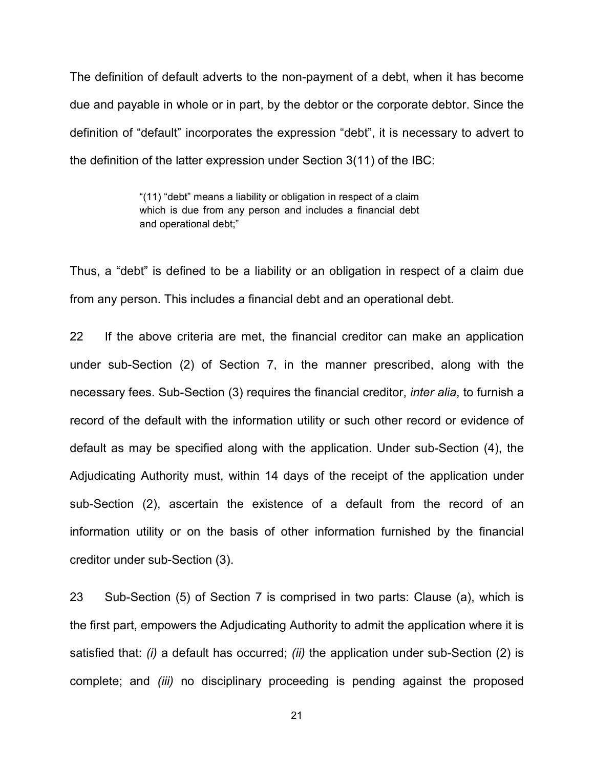The definition of default adverts to the non-payment of a debt, when it has become due and payable in whole or in part, by the debtor or the corporate debtor. Since the definition of "default" incorporates the expression "debt", it is necessary to advert to the definition of the latter expression under Section 3(11) of the IBC:

> "(11) "debt" means a liability or obligation in respect of a claim which is due from any person and includes a financial debt and operational debt;"

Thus, a "debt" is defined to be a liability or an obligation in respect of a claim due from any person. This includes a financial debt and an operational debt.

22 If the above criteria are met, the financial creditor can make an application under sub-Section (2) of Section 7, in the manner prescribed, along with the necessary fees. Sub-Section (3) requires the financial creditor, *inter alia*, to furnish a record of the default with the information utility or such other record or evidence of default as may be specified along with the application. Under sub-Section (4), the Adjudicating Authority must, within 14 days of the receipt of the application under sub-Section (2), ascertain the existence of a default from the record of an information utility or on the basis of other information furnished by the financial creditor under sub-Section (3).

23 Sub-Section (5) of Section 7 is comprised in two parts: Clause (a), which is the first part, empowers the Adjudicating Authority to admit the application where it is satisfied that: *(i)* a default has occurred; *(ii)* the application under sub-Section (2) is complete; and *(iii)* no disciplinary proceeding is pending against the proposed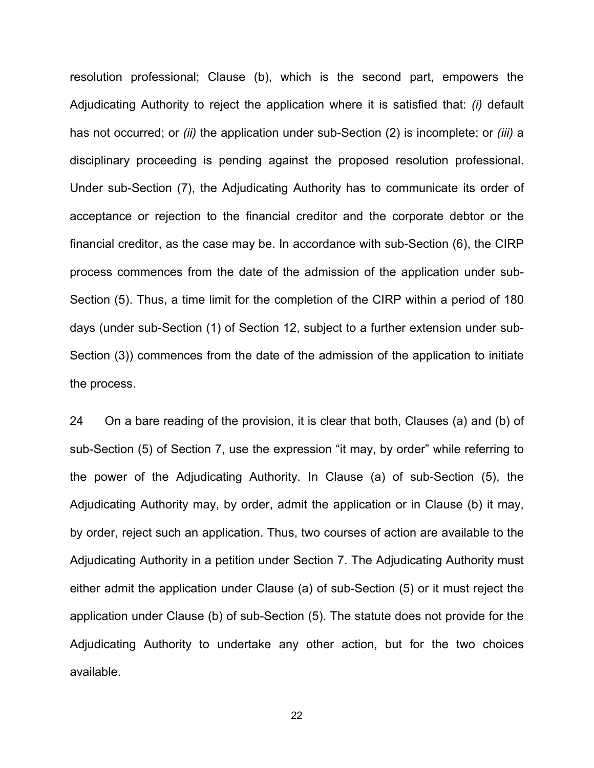resolution professional; Clause (b), which is the second part, empowers the Adjudicating Authority to reject the application where it is satisfied that: *(i)* default has not occurred; or *(ii)* the application under sub-Section (2) is incomplete; or *(iii)* a disciplinary proceeding is pending against the proposed resolution professional. Under sub-Section (7), the Adjudicating Authority has to communicate its order of acceptance or rejection to the financial creditor and the corporate debtor or the financial creditor, as the case may be. In accordance with sub-Section (6), the CIRP process commences from the date of the admission of the application under sub-Section (5). Thus, a time limit for the completion of the CIRP within a period of 180 days (under sub-Section (1) of Section 12, subject to a further extension under sub-Section (3)) commences from the date of the admission of the application to initiate the process.

24 On a bare reading of the provision, it is clear that both, Clauses (a) and (b) of sub-Section (5) of Section 7, use the expression "it may, by order" while referring to the power of the Adjudicating Authority. In Clause (a) of sub-Section (5), the Adjudicating Authority may, by order, admit the application or in Clause (b) it may, by order, reject such an application. Thus, two courses of action are available to the Adjudicating Authority in a petition under Section 7. The Adjudicating Authority must either admit the application under Clause (a) of sub-Section (5) or it must reject the application under Clause (b) of sub-Section (5). The statute does not provide for the Adjudicating Authority to undertake any other action, but for the two choices available.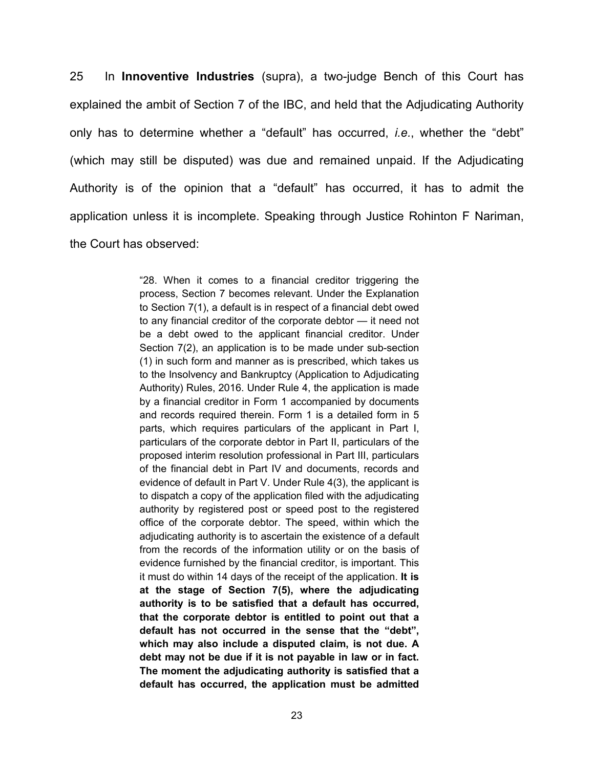25 In **Innoventive Industries** (supra), a two-judge Bench of this Court has explained the ambit of Section 7 of the IBC, and held that the Adjudicating Authority only has to determine whether a "default" has occurred, *i.e.*, whether the "debt" (which may still be disputed) was due and remained unpaid. If the Adjudicating Authority is of the opinion that a "default" has occurred, it has to admit the application unless it is incomplete. Speaking through Justice Rohinton F Nariman, the Court has observed:

> "28. When it comes to a financial creditor triggering the process, Section 7 becomes relevant. Under the Explanation to Section 7(1), a default is in respect of a financial debt owed to any financial creditor of the corporate debtor — it need not be a debt owed to the applicant financial creditor. Under Section 7(2), an application is to be made under sub-section (1) in such form and manner as is prescribed, which takes us to the Insolvency and Bankruptcy (Application to Adjudicating Authority) Rules, 2016. Under Rule 4, the application is made by a financial creditor in Form 1 accompanied by documents and records required therein. Form 1 is a detailed form in 5 parts, which requires particulars of the applicant in Part I, particulars of the corporate debtor in Part II, particulars of the proposed interim resolution professional in Part III, particulars of the financial debt in Part IV and documents, records and evidence of default in Part V. Under Rule 4(3), the applicant is to dispatch a copy of the application filed with the adjudicating authority by registered post or speed post to the registered office of the corporate debtor. The speed, within which the adjudicating authority is to ascertain the existence of a default from the records of the information utility or on the basis of evidence furnished by the financial creditor, is important. This it must do within 14 days of the receipt of the application. **It is at the stage of Section 7(5), where the adjudicating authority is to be satisfied that a default has occurred, that the corporate debtor is entitled to point out that a default has not occurred in the sense that the "debt", which may also include a disputed claim, is not due. A debt may not be due if it is not payable in law or in fact. The moment the adjudicating authority is satisfied that a default has occurred, the application must be admitted**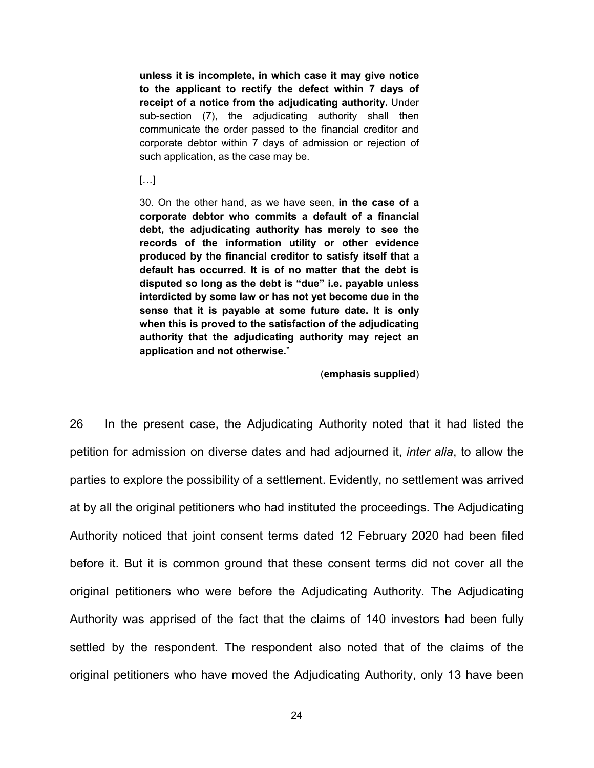**unless it is incomplete, in which case it may give notice to the applicant to rectify the defect within 7 days of receipt of a notice from the adjudicating authority.** Under sub-section (7), the adjudicating authority shall then communicate the order passed to the financial creditor and corporate debtor within 7 days of admission or rejection of such application, as the case may be.

[…]

30. On the other hand, as we have seen, **in the case of a corporate debtor who commits a default of a financial debt, the adjudicating authority has merely to see the records of the information utility or other evidence produced by the financial creditor to satisfy itself that a default has occurred. It is of no matter that the debt is disputed so long as the debt is "due" i.e. payable unless interdicted by some law or has not yet become due in the sense that it is payable at some future date. It is only when this is proved to the satisfaction of the adjudicating authority that the adjudicating authority may reject an application and not otherwise.**"

(**emphasis supplied**)

26 In the present case, the Adjudicating Authority noted that it had listed the petition for admission on diverse dates and had adjourned it, *inter alia*, to allow the parties to explore the possibility of a settlement. Evidently, no settlement was arrived at by all the original petitioners who had instituted the proceedings. The Adjudicating Authority noticed that joint consent terms dated 12 February 2020 had been filed before it. But it is common ground that these consent terms did not cover all the original petitioners who were before the Adjudicating Authority. The Adjudicating Authority was apprised of the fact that the claims of 140 investors had been fully settled by the respondent. The respondent also noted that of the claims of the original petitioners who have moved the Adjudicating Authority, only 13 have been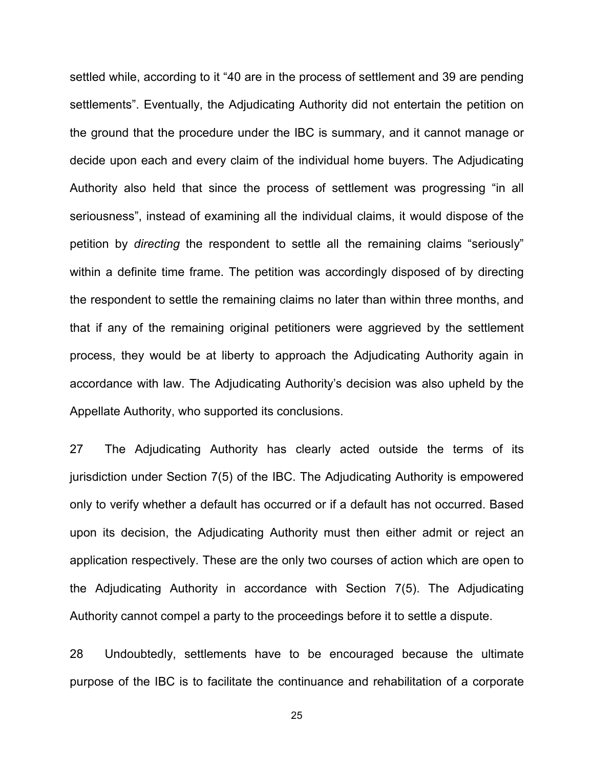settled while, according to it "40 are in the process of settlement and 39 are pending settlements". Eventually, the Adjudicating Authority did not entertain the petition on the ground that the procedure under the IBC is summary, and it cannot manage or decide upon each and every claim of the individual home buyers. The Adjudicating Authority also held that since the process of settlement was progressing "in all seriousness", instead of examining all the individual claims, it would dispose of the petition by *directing* the respondent to settle all the remaining claims "seriously" within a definite time frame. The petition was accordingly disposed of by directing the respondent to settle the remaining claims no later than within three months, and that if any of the remaining original petitioners were aggrieved by the settlement process, they would be at liberty to approach the Adjudicating Authority again in accordance with law. The Adjudicating Authority's decision was also upheld by the Appellate Authority, who supported its conclusions.

27 The Adjudicating Authority has clearly acted outside the terms of its jurisdiction under Section 7(5) of the IBC. The Adjudicating Authority is empowered only to verify whether a default has occurred or if a default has not occurred. Based upon its decision, the Adjudicating Authority must then either admit or reject an application respectively. These are the only two courses of action which are open to the Adjudicating Authority in accordance with Section 7(5). The Adjudicating Authority cannot compel a party to the proceedings before it to settle a dispute.

28 Undoubtedly, settlements have to be encouraged because the ultimate purpose of the IBC is to facilitate the continuance and rehabilitation of a corporate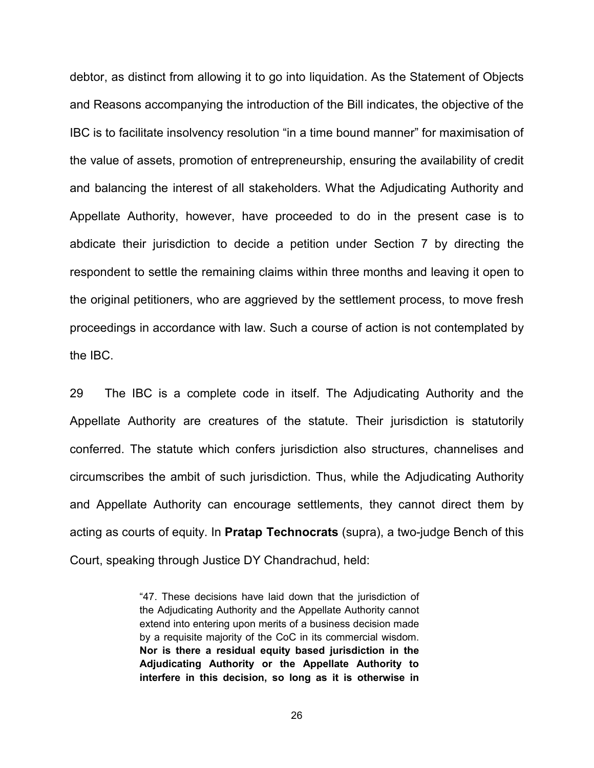debtor, as distinct from allowing it to go into liquidation. As the Statement of Objects and Reasons accompanying the introduction of the Bill indicates, the objective of the IBC is to facilitate insolvency resolution "in a time bound manner" for maximisation of the value of assets, promotion of entrepreneurship, ensuring the availability of credit and balancing the interest of all stakeholders. What the Adjudicating Authority and Appellate Authority, however, have proceeded to do in the present case is to abdicate their jurisdiction to decide a petition under Section 7 by directing the respondent to settle the remaining claims within three months and leaving it open to the original petitioners, who are aggrieved by the settlement process, to move fresh proceedings in accordance with law. Such a course of action is not contemplated by the IBC.

29 The IBC is a complete code in itself. The Adjudicating Authority and the Appellate Authority are creatures of the statute. Their jurisdiction is statutorily conferred. The statute which confers jurisdiction also structures, channelises and circumscribes the ambit of such jurisdiction. Thus, while the Adjudicating Authority and Appellate Authority can encourage settlements, they cannot direct them by acting as courts of equity. In **Pratap Technocrats** (supra), a two-judge Bench of this Court, speaking through Justice DY Chandrachud, held:

> "47. These decisions have laid down that the jurisdiction of the Adjudicating Authority and the Appellate Authority cannot extend into entering upon merits of a business decision made by a requisite majority of the CoC in its commercial wisdom. **Nor is there a residual equity based jurisdiction in the Adjudicating Authority or the Appellate Authority to interfere in this decision, so long as it is otherwise in**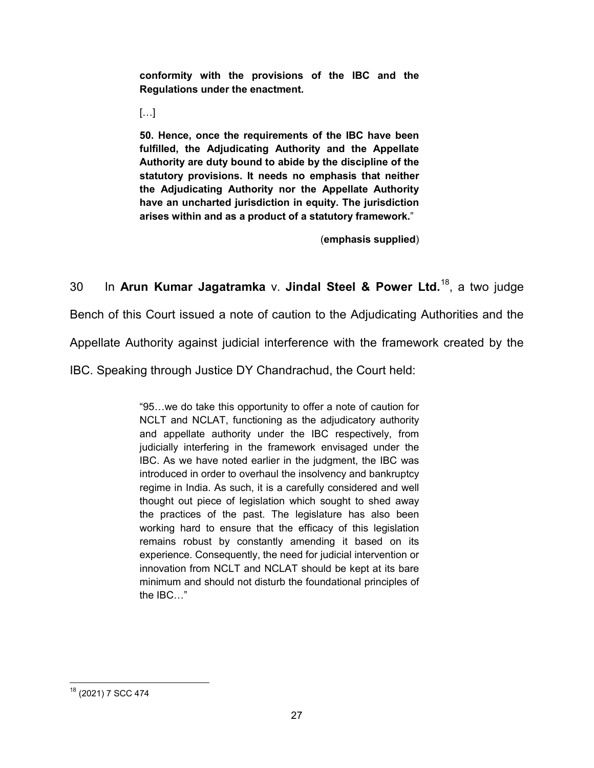**conformity with the provisions of the IBC and the Regulations under the enactment.**

[…]

**50. Hence, once the requirements of the IBC have been fulfilled, the Adjudicating Authority and the Appellate Authority are duty bound to abide by the discipline of the statutory provisions. It needs no emphasis that neither the Adjudicating Authority nor the Appellate Authority have an uncharted jurisdiction in equity. The jurisdiction arises within and as a product of a statutory framework.**"

(**emphasis supplied**)

30 In **Arun Kumar Jagatramka** v. **Jindal Steel & Power Ltd.**[18](#page-26-0), a two judge

Bench of this Court issued a note of caution to the Adjudicating Authorities and the

Appellate Authority against judicial interference with the framework created by the

IBC. Speaking through Justice DY Chandrachud, the Court held:

"95…we do take this opportunity to offer a note of caution for NCLT and NCLAT, functioning as the adjudicatory authority and appellate authority under the IBC respectively, from judicially interfering in the framework envisaged under the IBC. As we have noted earlier in the judgment, the IBC was introduced in order to overhaul the insolvency and bankruptcy regime in India. As such, it is a carefully considered and well thought out piece of legislation which sought to shed away the practices of the past. The legislature has also been working hard to ensure that the efficacy of this legislation remains robust by constantly amending it based on its experience. Consequently, the need for judicial intervention or innovation from NCLT and NCLAT should be kept at its bare minimum and should not disturb the foundational principles of the IBC…"

<span id="page-26-0"></span><sup>18</sup> (2021) 7 SCC 474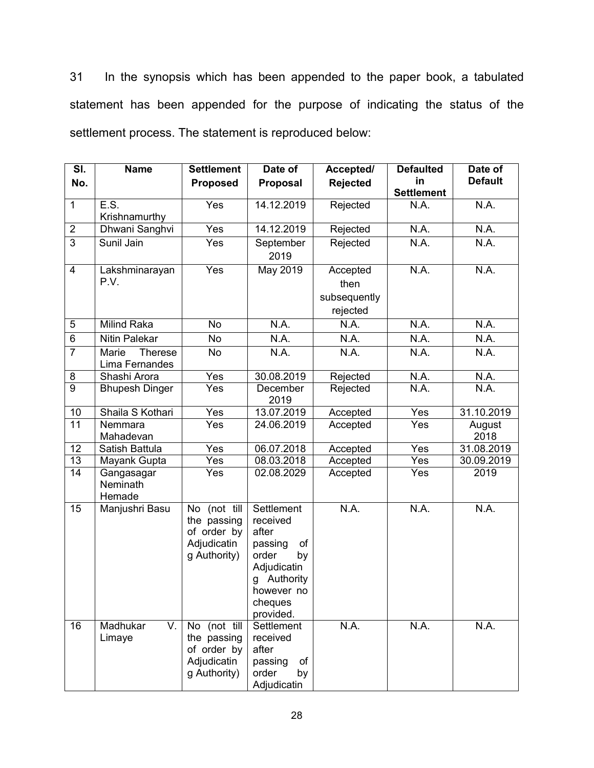31 In the synopsis which has been appended to the paper book, a tabulated statement has been appended for the purpose of indicating the status of the settlement process. The statement is reproduced below:

| SI.             | <b>Name</b>                        | <b>Settlement</b>                                                         | Date of                                                                                                                                | Accepted/                                    | <b>Defaulted</b>  | Date of        |
|-----------------|------------------------------------|---------------------------------------------------------------------------|----------------------------------------------------------------------------------------------------------------------------------------|----------------------------------------------|-------------------|----------------|
| No.             |                                    | <b>Proposed</b>                                                           | Proposal                                                                                                                               | <b>Rejected</b>                              | in                | <b>Default</b> |
|                 |                                    |                                                                           |                                                                                                                                        |                                              | <b>Settlement</b> |                |
| $\mathbf{1}$    | E.S.<br>Krishnamurthy              | Yes                                                                       | 14.12.2019                                                                                                                             | Rejected                                     | N.A.              | N.A.           |
| $\overline{2}$  | Dhwani Sanghvi                     | Yes                                                                       | 14.12.2019                                                                                                                             | Rejected                                     | N.A.              | N.A.           |
| $\overline{3}$  | Sunil Jain                         | Yes                                                                       | September<br>2019                                                                                                                      | Rejected                                     | N.A.              | N.A.           |
| $\overline{4}$  | Lakshminarayan<br>P.V.             | Yes                                                                       | <b>May 2019</b>                                                                                                                        | Accepted<br>then<br>subsequently<br>rejected | N.A.              | N.A.           |
| $\overline{5}$  | <b>Milind Raka</b>                 | <b>No</b>                                                                 | N.A.                                                                                                                                   | N.A.                                         | N.A.              | N.A.           |
| $\overline{6}$  | <b>Nitin Palekar</b>               | No                                                                        | N.A.                                                                                                                                   | N.A.                                         | N.A.              | N.A.           |
| $\overline{7}$  | Marie<br>Therese<br>Lima Fernandes | No                                                                        | N.A.                                                                                                                                   | N.A.                                         | N.A.              | N.A.           |
| 8               | Shashi Arora                       | Yes                                                                       | 30.08.2019                                                                                                                             | Rejected                                     | N.A.              | N.A.           |
| $\overline{9}$  | <b>Bhupesh Dinger</b>              | Yes                                                                       | December<br>2019                                                                                                                       | Rejected                                     | N.A.              | N.A.           |
| 10              | Shaila S Kothari                   | Yes                                                                       | 13.07.2019                                                                                                                             | Accepted                                     | Yes               | 31.10.2019     |
| 11              | Nemmara<br>Mahadevan               | Yes                                                                       | 24.06.2019                                                                                                                             | Accepted                                     | Yes               | August<br>2018 |
| 12              | Satish Battula                     | Yes                                                                       | 06.07.2018                                                                                                                             | Accepted                                     | Yes               | 31.08.2019     |
| 13              | Mayank Gupta                       | Yes                                                                       | 08.03.2018                                                                                                                             | Accepted                                     | Yes               | 30.09.2019     |
| $\overline{14}$ | Gangasagar<br>Neminath<br>Hemade   | Yes                                                                       | 02.08.2029                                                                                                                             | Accepted                                     | Yes               | 2019           |
| 15              | Manjushri Basu                     | No (not till<br>the passing<br>of order by<br>Adjudicatin<br>g Authority) | Settlement<br>received<br>after<br>passing<br>of<br>order<br>by<br>Adjudicatin<br>Authority<br>g<br>however no<br>cheques<br>provided. | N.A.                                         | N.A.              | N.A.           |
| 16              | Madhukar<br>V.<br>Limaye           | No (not till<br>the passing<br>of order by<br>Adjudicatin<br>g Authority) | Settlement<br>received<br>after<br>passing<br>of<br>order<br>by<br>Adjudicatin                                                         | N.A.                                         | N.A.              | N.A.           |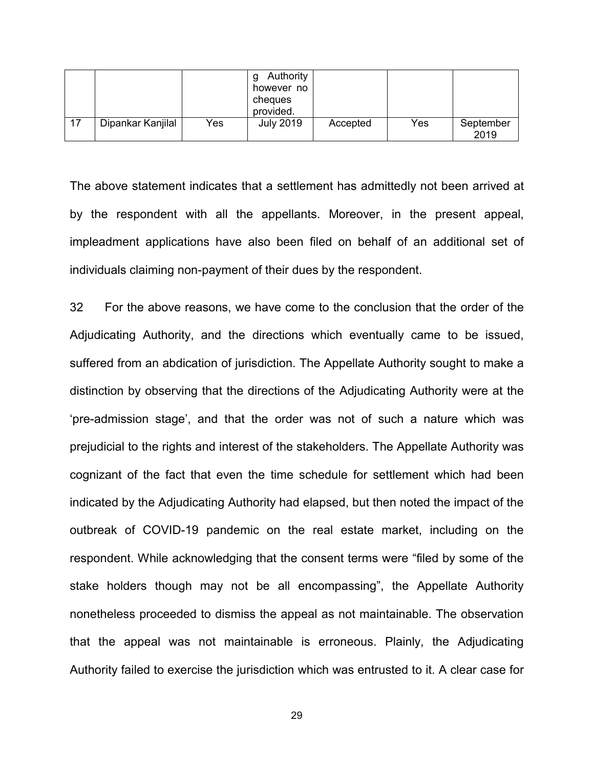|                   |     | Authority<br>however no<br>cheques<br>provided. |          |     |                   |
|-------------------|-----|-------------------------------------------------|----------|-----|-------------------|
| Dipankar Kanjilal | Yes | <b>July 2019</b>                                | Accepted | Yes | September<br>2019 |

The above statement indicates that a settlement has admittedly not been arrived at by the respondent with all the appellants. Moreover, in the present appeal, impleadment applications have also been filed on behalf of an additional set of individuals claiming non-payment of their dues by the respondent.

32 For the above reasons, we have come to the conclusion that the order of the Adjudicating Authority, and the directions which eventually came to be issued, suffered from an abdication of jurisdiction. The Appellate Authority sought to make a distinction by observing that the directions of the Adjudicating Authority were at the 'pre-admission stage', and that the order was not of such a nature which was prejudicial to the rights and interest of the stakeholders. The Appellate Authority was cognizant of the fact that even the time schedule for settlement which had been indicated by the Adjudicating Authority had elapsed, but then noted the impact of the outbreak of COVID-19 pandemic on the real estate market, including on the respondent. While acknowledging that the consent terms were "filed by some of the stake holders though may not be all encompassing", the Appellate Authority nonetheless proceeded to dismiss the appeal as not maintainable. The observation that the appeal was not maintainable is erroneous. Plainly, the Adjudicating Authority failed to exercise the jurisdiction which was entrusted to it. A clear case for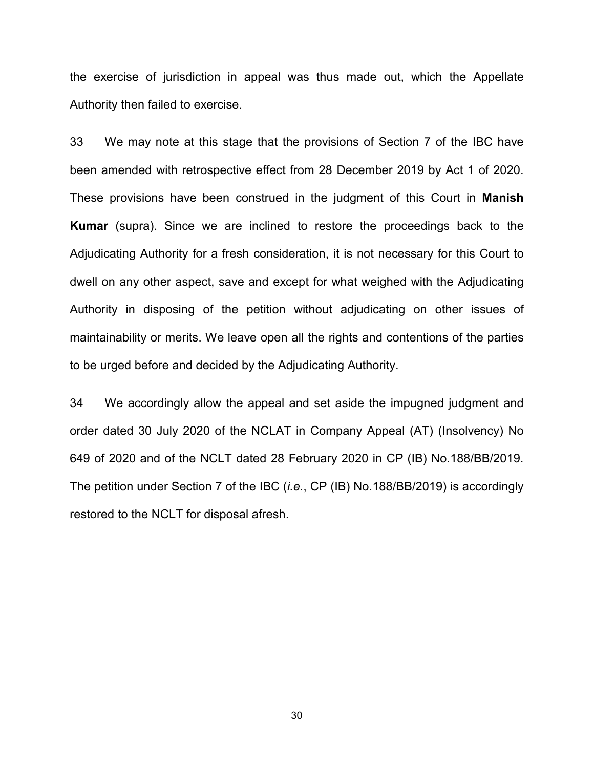the exercise of jurisdiction in appeal was thus made out, which the Appellate Authority then failed to exercise.

33 We may note at this stage that the provisions of Section 7 of the IBC have been amended with retrospective effect from 28 December 2019 by Act 1 of 2020. These provisions have been construed in the judgment of this Court in **Manish Kumar** (supra). Since we are inclined to restore the proceedings back to the Adjudicating Authority for a fresh consideration, it is not necessary for this Court to dwell on any other aspect, save and except for what weighed with the Adjudicating Authority in disposing of the petition without adjudicating on other issues of maintainability or merits. We leave open all the rights and contentions of the parties to be urged before and decided by the Adjudicating Authority.

34 We accordingly allow the appeal and set aside the impugned judgment and order dated 30 July 2020 of the NCLAT in Company Appeal (AT) (Insolvency) No 649 of 2020 and of the NCLT dated 28 February 2020 in CP (IB) No.188/BB/2019. The petition under Section 7 of the IBC (*i.e.*, CP (IB) No.188/BB/2019) is accordingly restored to the NCLT for disposal afresh.